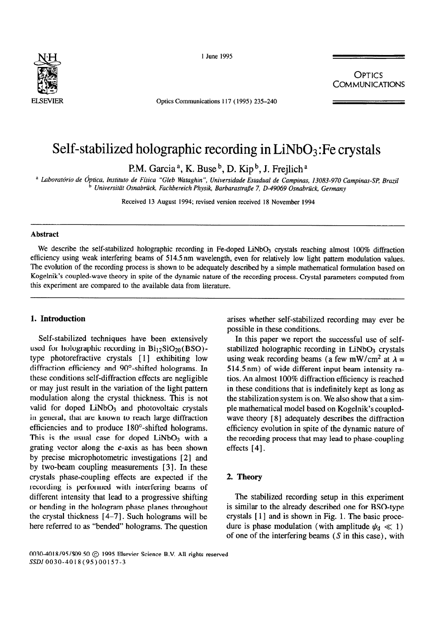

Optics Communications 117 (1995) 235-240

**OPTICS COMMUNICATIONS** 

# Self-stabilized holographic recording in  $LiNbO<sub>3</sub>$ : Fe crystals

P.M. Garcia<sup>a</sup>, K. Buse<sup>b</sup>, D. Kip<sup>b</sup>, J. Frejlich<sup>a</sup>

<sup>a</sup> Laboratório de Óptica, Instituto de Física "Gleb Wataghin", Universidade Estadual de Campinas, 13083-970 Campinas-SP, Brazil <sup>b</sup> Universität Osnabrück, Fachbereich Physik, Barbarastraße 7, D-49069 Osnabrück, Germany

Received 13 August 1994; revised version **received 18** November 1994

#### **Abstract**

We describe the self-stabilized holographic recording in Fe-doped LiNbO<sub>3</sub> crystals reaching almost 100% diffraction efficiency using weak interfering beams of 514.5 nm wavelength, even for relatively low light pattern modulation values. The evolution of the recording process is shown to be adequately described by a simple mathematical formulation based on Kogelnik's coupled-wave theory in spite of the dynamic nature of the recording process. Crystal parameters computed from this experiment are compared to the available data from literature.

# **1. Introduction**

Self-stabilized techniques have been extensively used for holographic recording in  $Bi_{12}SiO_{20}(BSO)$ type photorefractive crystals [1] exhibiting low diffraction efficiency and 90°-shifted holograms. In these conditions self-diffraction effects are negligible or may just result in the variation of the light pattern modulation along the crystal thickness. This is not valid for doped  $LiNbO<sub>3</sub>$  and photovoltaic crystals in general, that are known to reach large diffraction efficiencies and to produce 180°-shifted holograms. This is the usual case for doped  $LiNbO<sub>3</sub>$  with a grating vector along the c-axis as has been shown by precise microphotometric investigations [ 21 and by two-beam coupling measurements [3]. In these crystals phase-coupling effects are expected if the recording is performed with interfering beams of different intensity that lead to a progressive shifting or bending in the hologram phase planes throughout the crystal thickness  $[4-7]$ . Such holograms will be here referred to as "bended" holograms. The question

arises whether self-stabilized recording may ever be possible in these conditions.

In this paper we report the successful use of selfstabilized holographic recording in  $LiNbO<sub>3</sub>$  crystals using weak recording beams (a few mW/cm<sup>2</sup> at  $\lambda =$ 514.5nm) of wide different input beam intensity ratios. An almost 100% diffraction efficiency is reached in these conditions that is indefinitely kept as long as the stabilization system is on. We also show that a simple mathematical model based on Kogelnik's coupledwave theory  $[8]$  adequately describes the diffraction efficiency evolution in spite of the dynamic nature of the recording process that may lead to phase-coupling effects [ 41.

# 2. **Theory**

The stabilized recording setup in this experiment is similar to the already described one for BSO-type crystals [ **1 ]** and is shown in Fig. 1. The basic procedure is phase modulation (with amplitude  $\psi_d \ll 1$ ) of one of the interfering beams  $(S \text{ in this case})$ , with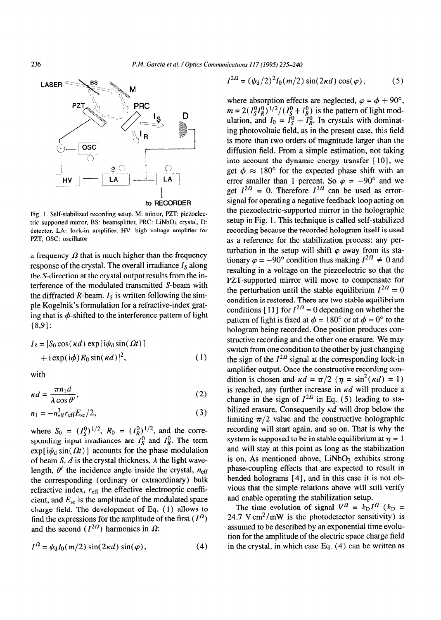

Fig. 1. Self-stabilized recording setup. M: mirror, PZT: piezoeiectric supported mirror, BS: beamsplitter, PRC: LiNbOj crystal, D: detector, LA: lock-in amplifier, HV: high voltage amplifier for PZT, OSC: oscillator

a frequency  $\Omega$  that is much higher than the frequency response of the crystal. The overall irradiance  $I_s$  along the S-direction at the crystal output results from the interference of the modulated transmitted S-beam with the diffracted R-beam.  $I_s$  is written following the simple Kogelnik's formulation for a refractive-index grating that is  $\phi$ -shifted to the interference pattern of light [8,91:

$$
I_S = |S_0 \cos(\kappa d) \exp[i\psi_d \sin(\Omega t)]
$$
  
+  $i \exp(i\phi) R_0 \sin(\kappa d)|^2$ , (1)

with

$$
\kappa d = \frac{\pi n_1 d}{\lambda \cos \theta'},\tag{2}
$$

$$
n_1 = -n_{\text{eff}}^3 r_{\text{eff}} E_{\text{sc}}/2, \tag{3}
$$

where  $S_0 = (I_S^0)^{1/2}$ ,  $R_0 = (I_R^0)^{1/2}$ , and the corresponding input irradiances are  $I_S^0$  and  $I_R^0$ . The term  $\exp[i\psi_d \sin(\Omega t)]$  accounts for the phase modulation of beam S,  $d$  is the crystal thickness,  $\lambda$  the light wavelength,  $\theta'$  the incidence angle inside the crystal,  $n_{\text{eff}}$ the corresponding (ordinary or extraordinary) bulk refractive index,  $r_{\text{eff}}$  the effective electrooptic coefficient, and  $E_{\rm sc}$  is the amplitude of the modulated space charge field. The development of Eq. (1) allows to find the expressions for the amplitude of the first  $(I^{\prime\prime})$ and the second  $(I^{20})$  harmonics in  $\Omega$ :

$$
I^{\Omega} = \psi_{d} I_{0}(m/2) \sin(2\kappa d) \sin(\varphi), \qquad (4)
$$

$$
I^{2\Omega} = (\psi_{d}/2)^{2} I_{0}(m/2) \sin(2\kappa d) \cos(\varphi), \qquad (5)
$$

where absorption effects are neglected,  $\varphi = \phi + 90^{\circ}$ ,  $m = 2(I_S^0I_R^0)^{1/2}/(I_S^0 + I_R^0)$  is the pattern of light modulation, and  $I_0 = I_S^0 + I_R^0$ . In crystals with dominating photovoltaic field, as in the present case, this field is more than two orders of magnitude larger than the diffusion field. From a simple estimation, not taking into account the dynamic energy transfer [10], we get  $\phi \approx 180^{\circ}$  for the expected phase shift with an error smaller than 1 percent. So  $\varphi = -90^{\circ}$  and we get  $I^{2} = 0$ . Therefore  $I^{2}$  can be used as errorsignal for operating a negative feedback loop acting on the piezoelectric-supported mirror in the holographic setup in Fig. 1. This technique is called self-stabilized recording because the recorded hologram itself is used as a reference for the stabilization process: any perturbation in the setup will shift  $\varphi$  away from its stationary  $\varphi = -90^\circ$  condition thus making  $I^{20} \neq 0$  and resulting in a voltage on the piezoelectric so that the PZT-supported mirror will move to compensate for the perturbation until the stable equilibrium  $I^{2,0} = 0$ condition is restored. There are two stable equilibrium conditions [11] for  $I^{2n} = 0$  depending on whether the pattern of light is fixed at  $\phi = 180^{\circ}$  or at  $\phi = 0^{\circ}$  to the hologram being recorded. One position produces constructive recording and the other one erasure. We may switch from one condition to the other by just changing the sign of the  $I^{2n}$  signal at the corresponding lock-in amplifier output. Once the constructive recording condition is chosen and  $\kappa d = \pi/2$  ( $\eta = \sin^2(\kappa d) = 1$ ) is reached, any further increase in  $\kappa d$  will produce a change in the sign of  $I^{2,0}$  in Eq. (5) leading to stabilized erasure. Consequently  $\kappa d$  will drop below the limiting  $\pi/2$  value and the constructive holographic recording will start again, and so on. That is why the system is supposed to be in stable equilibrium at  $\eta = 1$ and will stay at this point as long as the stabilization is on. As mentioned above,  $LiNbO<sub>3</sub>$  exhibits strong phase-coupling effects that are expected to result in bended holograms 141, and in this case it is not obvious that the simple relations above will still verify and enable operating the stabilization setup.

The time evolution of signal  $V^{\Omega} = k_{D} I^{\Omega}$  ( $k_{D} =$ 24.7 V cm<sup>2</sup>/mW is the photodetector sensitivity) is assumed to be described by an exponentiai time evolution for the amplitude of the electric space charge field in the crystal, in which case Eq. (4) can be written as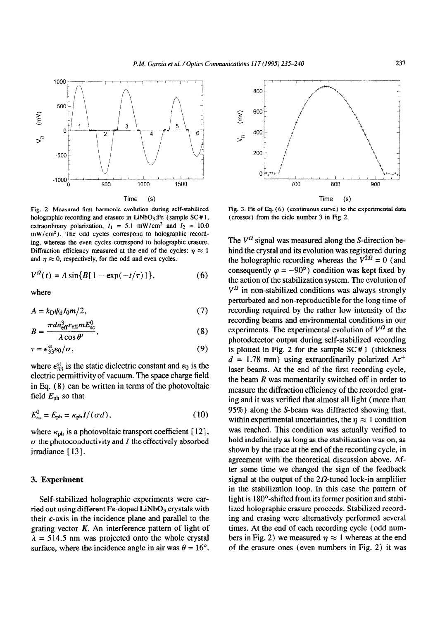

Fig. 2. Measured first harmonic evolution during self-stabilized holographic recording and erasure in LiNbO<sub>3</sub>:Fe (sample SC # 1, extraordinary polarization,  $I_1 = 5.1$  mW/cm<sup>2</sup> and  $I_2 = 10.0$ mW/cm<sup>2</sup>). The odd cycles correspond to holographic recording, whereas the even cycles correspond to holographic erasure. Diffraction efficiency measured at the end of the cycles:  $\eta \approx 1$ and  $\eta \approx 0$ , respectively, for the odd and even cycles.

$$
V^{0}(t) = A \sin\{B[1 - \exp(-t/\tau)]\},
$$
 (6)

where

$$
A = k_{\rm D} \psi_{\rm d} I_0 m/2, \qquad (7)
$$

$$
B = \frac{\pi d n_{\text{eff}}^3 r_{\text{eff}} m E_{\text{sc}}^0}{\lambda \cos \theta'},\tag{8}
$$

$$
\tau = \epsilon_{33}^{\text{st}} \epsilon_0 / \sigma, \tag{9}
$$

where  $\epsilon_{33}^{\text{st}}$  is the static dielectric constant and  $\epsilon_0$  is the electric permittivity of vacuum. The space charge field in Eq. (8) can be written in terms of the photovoltaic field  $E_{\text{ph}}$  so that

$$
E_{\rm sc}^0 = E_{\rm ph} = \kappa_{\rm ph} I/(\sigma d),\qquad(10)
$$

where  $\kappa_{\rm ph}$  is a photovoltaic transport coefficient [12],  $\sigma$  the photoconductivity and I the effectively absorbed irradiance [13].

# 3, Experiment

Self-stabilized holographic experiments were carried out using different Fe-doped LiNbO<sub>3</sub> crystals with their  $c$ -axis in the incidence plane and parallel to the grating vector  $K$ . An interference pattern of light of  $\lambda$  = 514.5 nm was projected onto the whole crystal surface, where the incidence angle in air was  $\theta = 16^{\circ}$ .



Fig. 3. Fit of Eq.  $(6)$  (continuous curve) to the experimental data (crosses) from the cicle number 3 in Fig. 2.

The  $V^{\Omega}$  signal was measured along the S-direction behind the crystal and its evolution was registered during the holographic recording whereas the  $V^{2\Omega} = 0$  (and consequently  $\varphi = -90^{\circ}$  condition was kept fixed by the action of the stabilization system. The evolution of  $V^{\Omega}$  in non-stabilized conditions was always strongly perturbated and non-reproductible for the long time of recording required by the rather low intensity of the recording beams and environmental conditions in our experiments. The experimental evolution of  $V^{T}$  at the photodetector output during self-stabilized recording is plotted in Fig. 2 for the sample  $SC#1$  (thickness  $d = 1.78$  mm) using extraordinarily polarized Ar<sup>+</sup> laser beams. At the end of the first recording cycle, the beam *R was* momentarily switched off in order to measure the diffraction efficiency of the recorded grating and it was verified that almost all light (more than  $95\%$ ) along the S-beam was diffracted showing that, within experimental uncertainties, the  $\eta \approx 1$  condition was reached. This condition was actually verified to hold indefinitely as long as the stabilization was on, as shown by the trace at the end of the recording cycle, in agreement with the theoretical discussion above. After some time we changed the sign of the feedback signal at the output of the  $2\Omega$ -tuned lock-in amplifier in the stabilization loop. In this case the pattern of light is 180°-shifted from its former position and stabilized holographic erasure proceeds. Stabilized recording and erasing were alternatively performed several times. At the end of each recording cycle (odd numbers in Fig. 2) we measured  $\eta \approx 1$  whereas at the end of the erasure ones (even numbers in Fig. 2) it was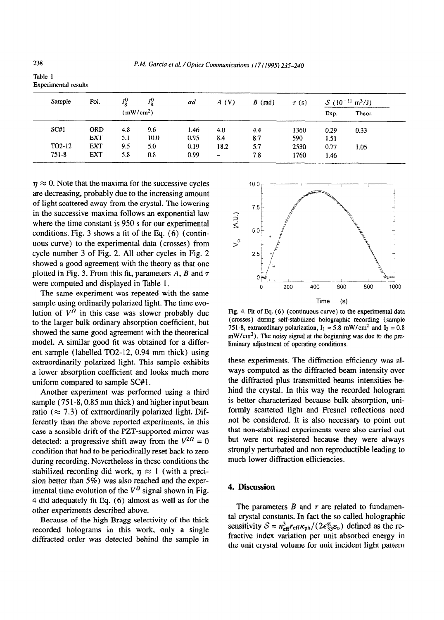Experimental results

| Sample              | Pol.       | 12                    | $I_{\rm R}^0$ | $\alpha$ d | A(V)      | $B$ (rad) | $\tau(s)$ | $S(10^{-11} \text{ m}^3/\text{J})$ |        |
|---------------------|------------|-----------------------|---------------|------------|-----------|-----------|-----------|------------------------------------|--------|
|                     |            | (mW/cm <sup>2</sup> ) |               |            |           |           |           | Exp.                               | Theor. |
| SC#1                | <b>ORD</b> | 4.8                   | 9.6           | 1.46       | 4.0       | 4.4       | 1360      | 0.29                               | 0.33   |
|                     | <b>EXT</b> | 5.1                   | 10.0          | 0.95       | 8.4       | 8.7       | 590       | 1.51                               |        |
| TO <sub>2</sub> -12 | <b>EXT</b> | 9.5                   | 5.0           | 0.19       | 18.2      | 5.7       | 2530      | 0.77                               | 1.05   |
| $751 - 8$           | <b>EXT</b> | 5.8                   | 0.8           | 0.99       | $\bar{ }$ | 7.8       | 1760      | 1.46                               |        |

 $\eta \approx 0$ . Note that the maxima for the successive cycles are decreasing, probably due to the increasing amount of light scattered away from the crystal. The lowering in the successive maxima follows an exponential law where the time constant is 950 s for our experimental conditions. Fig. 3 shows a fit of the Eq.  $(6)$  (continuous curve) to the experimental data (crosses) from cycle number 3 of Fig. 2. All other cycles in Fig. 2 showed a good agreement with the theory as that one plotted in Fig. 3. From this fit, parameters  $A$ ,  $B$  and  $\tau$ were computed and displayed in Table 1.

The same experiment was repeated with the same sample using ordinarily polarized light. The time evolution of  $V^0$  in this case was slower probably due to the larger bulk ordinary absorption coefficient, but showed the same good agreement with the theoretical model. A similar good fit was obtained for a different sample (labelled TO2-12, 0.94 mm thick) using extraordinarily polarized light. This sample exhibits a lower absorption coefficient and looks much more uniform compared to sample SC#l .

Another experiment was performed using a third sample  $(751-8,0.85$  mm thick) and higher input beam ratio ( $\approx$  7.3) of extraordinarily polarized light. Differently than the above reported experiments, in this case a sensible drift of the PZT-supported mirror was detected: a progressive shift away from the  $V^{2,0} = 0$ condition that had to be periodically reset back to zero during recording. Nevertheless in these conditions the stabilized recording did work,  $\eta \approx 1$  (with a precision better than 5%) was also reached and the experimental time evolution of the  $V^{\Omega}$  signal shown in Fig. 4 did adequately fit Eq.  $(6)$  almost as well as for the other experiments described above.

Because of the high Bragg selectivity of the thick recorded holograms in this work, only a single diffracted order was detected behind the sample in



Fig. 4. Fit of Eq.  $(6)$  (continuous curve) to the experimental data (crosses) during self-stabilized holographic recording (sample 751-8, extraordinary polarization,  $I_1 = 5.8$  mW/cm<sup>2</sup> and  $I_2 = 0.8$  $mW/cm<sup>2</sup>$ ). The noisy signal at the beginning was due to the preliminary adjustment of operating conditions.

these experiments. The diffraction efficiency was always computed as the diffracted beam intensity over the diffracted plus transmitted beams intensities behind the crystal. In this way the recorded hologram is better characterized because bulk absorption, uniformly scattered light and Fresnel reflections need not be considered. It is also necessary to point out that non-stabilized experiments were also carried out but were not registered because they were always strongly perturbated and non reproductible leading to much lower diffraction efficiencies.

#### 4. Discussion

The parameters  $B$  and  $\tau$  are related to fundamental crystal constants. In fact the so called holographic sensitivity  $S = n_{\text{eff}}^3 r_{\text{eff}} \kappa_{\text{ph}}/(2\epsilon_{33}^{\text{st}} \epsilon_{\text{o}})$  defined as the refractive index variation per unit absorbed energy in the unit crystal volume for unit incident light pattern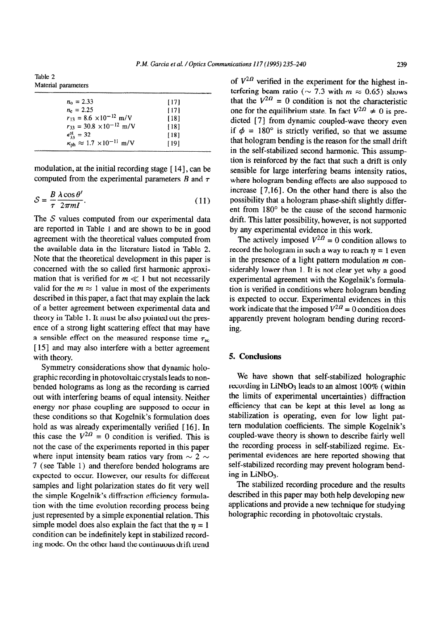Table 2 Material parameters

| $n_0 = 2.33$                     |                                                   | [17] |  |
|----------------------------------|---------------------------------------------------|------|--|
| $n_e = 2.25$                     |                                                   | F171 |  |
|                                  | $r_{13} = 8.6 \times 10^{-12}$ m/V                | [18] |  |
|                                  | $r_{33} = 30.8 \times 10^{-12}$ m/V               | [18] |  |
| $\epsilon_{33}^{\text{st}} = 32$ |                                                   | [18] |  |
|                                  | $\kappa_{\rm ph} \approx 1.7 \times 10^{-11}$ m/V | [19] |  |
|                                  |                                                   |      |  |

modulation, at the initial recording stage [ 141, can be computed from the experimental parameters  $B$  and  $\tau$ 

$$
S = \frac{B \lambda \cos \theta'}{\tau \ 2\pi mI}.
$$
 (11)

The  $S$  values computed from our experimental data are reported in Table 1 and are shown to be in good agreement with the theoretical values computed from the available data in the literature listed in Table 2. Note that the theoretical development in this paper is concerned with the so called first harmonic approximation that is verified for  $m \ll 1$  but not necessarily valid for the  $m \approx 1$  value in most of the experiments described in this paper, a fact that may explain the lack of a better agreement between experimental data and theory in Table 1. It must be also pointed out the presence of a strong light scattering effect that may have a sensible effect on the measured response time  $\tau_{sc}$  $[15]$  and may also interfere with a better agreement with theory.

Symmetry considerations show that dynamic holographic recording in photovoltaic crystals leads to nonbended holograms as long as the recording is carried out with interfering beams of equal intensity. Neither energy nor phase coupling are supposed to occur in these conditions so that Kogelnik's formulation does hold as was already experimentally verified [16]. In this case the  $V^{20} = 0$  condition is verified. This is not the case of the experiments reported in this paper where input intensity beam ratios vary from  $\sim$  2  $\sim$ '7 (see Table I) and therefore bended holograms are expected to occur. However, our results for different samples and light polarization states do fit very well the simple Kogelnik's diffraction efficiency formulation with the time evolution recording process being just represented by a simple exponential relation. This simple model does also explain the fact that the  $\eta = 1$ condition can be indefinitely kept in stabilized recording mode. On the other hand the continuous drift trend

of  $V^{2}$ <sup> $\mu$ </sup> verified in the experiment for the highest interfering beam ratio ( $\sim$  7.3 with  $m \approx 0.65$ ) shows that the  $V^{2} = 0$  condition is not the characteristic one for the equilibrium state. In fact  $V^{2}$   $\neq$  0 is predicted  $[7]$  from dynamic coupled-wave theory even if  $\phi = 180^\circ$  is strictly verified, so that we assume [I91 that hologram bending is the reason for the small drift in the self-stabilized second harmonic. This assumption is reinforced by the fact that such a drift is only sensible for large interfering beams intensity ratios, where hologram bending effects are also supposed to increase  $[7,16]$ . On the other hand there is also the possibility that a hologram phase-shift slightly different from  $180^\circ$  be the cause of the second harmonic drift. This latter possibility, however, is not supported by any experimental evidence in this work.

The actively imposed  $V^{2,0} = 0$  condition allows to record the hologram in such a way to reach  $n = 1$  even in the presence of a light pattern modulation  $m$  considerably lower than 1. It is not clear yet why a good experimental agreement with the Kogelnik's formulation is verified in conditions where hologram bending is expected to occur. Experimental evidences in this work indicate that the imposed  $V^{2n} = 0$  condition does apparently prevent hologram bending during recording.

## 5. **Conchsions**

We have shown that self-stabilized holographic recording in  $LiNbO<sub>3</sub>$  leads to an almost 100% (within the limits of experimental uncertainties) diffraction efficiency that can be kept at this level as long as stabilization is operating, even for low light pattern modulation coefficients. The simple Kogelnik's coupled-wave theory is shown to describe fairly well the recording process in self-stabilized regime. Experimental evidences are here reported showing that self-stabilized recording may prevent hologram bending in LiNbO<sub>3</sub>.

The stabilized recording procedure and the results described in this paper may both help developing new applications and provide a new technique for studying holographic recording in photovoltaic crystals.